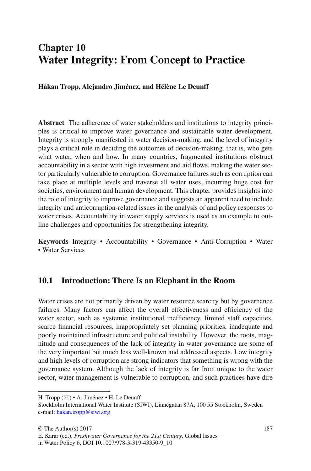# **Chapter 10 Water Integrity: From Concept to Practice**

 **Håkan Tropp , Alejandro Jiménez , and Hélène Le Deunff** 

 **Abstract** The adherence of water stakeholders and institutions to integrity principles is critical to improve water governance and sustainable water development. Integrity is strongly manifested in water decision-making, and the level of integrity plays a critical role in deciding the outcomes of decision-making, that is, who gets what water, when and how. In many countries, fragmented institutions obstruct accountability in a sector with high investment and aid flows, making the water sector particularly vulnerable to corruption. Governance failures such as corruption can take place at multiple levels and traverse all water uses, incurring huge cost for societies, environment and human development. This chapter provides insights into the role of integrity to improve governance and suggests an apparent need to include integrity and anticorruption-related issues in the analysis of and policy responses to water crises. Accountability in water supply services is used as an example to outline challenges and opportunities for strengthening integrity.

 **Keywords** Integrity • Accountability • Governance • Anti-Corruption • Water • Water Services

# **10.1 Introduction: There Is an Elephant in the Room**

 Water crises are not primarily driven by water resource scarcity but by governance failures. Many factors can affect the overall effectiveness and efficiency of the water sector, such as systemic institutional inefficiency, limited staff capacities, scarce financial resources, inappropriately set planning priorities, inadequate and poorly maintained infrastructure and political instability. However, the roots, magnitude and consequences of the lack of integrity in water governance are some of the very important but much less well-known and addressed aspects. Low integrity and high levels of corruption are strong indicators that something is wrong with the governance system. Although the lack of integrity is far from unique to the water sector, water management is vulnerable to corruption, and such practices have dire

H. Tropp (\*) • A. Jiménez • H. Le Deunff

Stockholm International Water Institute (SIWI) , Linnégatan 87A , 100 55 Stockholm , Sweden e-mail: [hakan.tropp@siwi.org](mailto:hakan.tropp@siwi.org)

 $\odot$  The Author(s) 2017 187

E. Karar (ed.), *Freshwater Governance for the 21st Century*, Global Issues in Water Policy 6, DOI 10.1007/978-3-319-43350-9\_10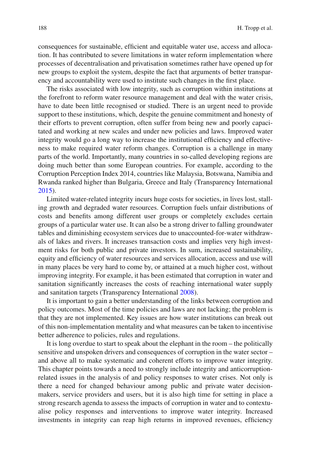consequences for sustainable, efficient and equitable water use, access and allocation. It has contributed to severe limitations in water reform implementation where processes of decentralisation and privatisation sometimes rather have opened up for new groups to exploit the system, despite the fact that arguments of better transparency and accountability were used to institute such changes in the first place.

 The risks associated with low integrity, such as corruption within institutions at the forefront to reform water resource management and deal with the water crisis, have to date been little recognised or studied. There is an urgent need to provide support to these institutions, which, despite the genuine commitment and honesty of their efforts to prevent corruption, often suffer from being new and poorly capacitated and working at new scales and under new policies and laws. Improved water integrity would go a long way to increase the institutional efficiency and effectiveness to make required water reform changes. Corruption is a challenge in many parts of the world. Importantly, many countries in so-called developing regions are doing much better than some European countries. For example, according to the Corruption Perception Index 2014, countries like Malaysia, Botswana, Namibia and Rwanda ranked higher than Bulgaria, Greece and Italy (Transparency International  $2015$ ).

 Limited water-related integrity incurs huge costs for societies, in lives lost, stalling growth and degraded water resources. Corruption fuels unfair distributions of costs and benefits among different user groups or completely excludes certain groups of a particular water use. It can also be a strong driver to falling groundwater tables and diminishing ecosystem services due to unaccounted-for-water withdrawals of lakes and rivers. It increases transaction costs and implies very high investment risks for both public and private investors. In sum, increased sustainability, equity and efficiency of water resources and services allocation, access and use will in many places be very hard to come by, or attained at a much higher cost, without improving integrity. For example, it has been estimated that corruption in water and sanitation significantly increases the costs of reaching international water supply and sanitation targets (Transparency International 2008).

 It is important to gain a better understanding of the links between corruption and policy outcomes. Most of the time policies and laws are not lacking; the problem is that they are not implemented. Key issues are how water institutions can break out of this non-implementation mentality and what measures can be taken to incentivise better adherence to policies, rules and regulations.

 It is long overdue to start to speak about the elephant in the room – the politically sensitive and unspoken drivers and consequences of corruption in the water sector – and above all to make systematic and coherent efforts to improve water integrity. This chapter points towards a need to strongly include integrity and anticorruptionrelated issues in the analysis of and policy responses to water crises. Not only is there a need for changed behaviour among public and private water decisionmakers, service providers and users, but it is also high time for setting in place a strong research agenda to assess the impacts of corruption in water and to contextualise policy responses and interventions to improve water integrity. Increased investments in integrity can reap high returns in improved revenues, efficiency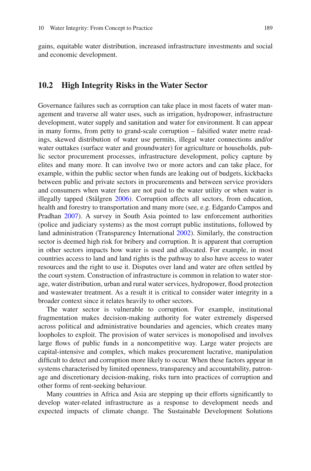gains, equitable water distribution, increased infrastructure investments and social and economic development.

## **10.2 High Integrity Risks in the Water Sector**

 Governance failures such as corruption can take place in most facets of water management and traverse all water uses, such as irrigation, hydropower, infrastructure development, water supply and sanitation and water for environment. It can appear in many forms, from petty to grand-scale corruption – falsified water metre readings, skewed distribution of water use permits, illegal water connections and/or water outtakes (surface water and groundwater) for agriculture or households, public sector procurement processes, infrastructure development, policy capture by elites and many more. It can involve two or more actors and can take place, for example, within the public sector when funds are leaking out of budgets, kickbacks between public and private sectors in procurements and between service providers and consumers when water fees are not paid to the water utility or when water is illegally tapped (Stålgren 2006). Corruption affects all sectors, from education, health and forestry to transportation and many more (see, e.g. Edgardo Campos and Pradhan 2007). A survey in South Asia pointed to law enforcement authorities (police and judiciary systems) as the most corrupt public institutions, followed by land administration (Transparency International 2002). Similarly, the construction sector is deemed high risk for bribery and corruption. It is apparent that corruption in other sectors impacts how water is used and allocated. For example, in most countries access to land and land rights is the pathway to also have access to water resources and the right to use it. Disputes over land and water are often settled by the court system. Construction of infrastructure is common in relation to water storage, water distribution, urban and rural water services, hydropower, flood protection and wastewater treatment. As a result it is critical to consider water integrity in a broader context since it relates heavily to other sectors.

 The water sector is vulnerable to corruption. For example, institutional fragmentation makes decision-making authority for water extremely dispersed across political and administrative boundaries and agencies, which creates many loopholes to exploit. The provision of water services is monopolised and involves large flows of public funds in a noncompetitive way. Large water projects are capital- intensive and complex, which makes procurement lucrative, manipulation difficult to detect and corruption more likely to occur. When these factors appear in systems characterised by limited openness, transparency and accountability, patronage and discretionary decision-making, risks turn into practices of corruption and other forms of rent-seeking behaviour.

Many countries in Africa and Asia are stepping up their efforts significantly to develop water-related infrastructure as a response to development needs and expected impacts of climate change. The Sustainable Development Solutions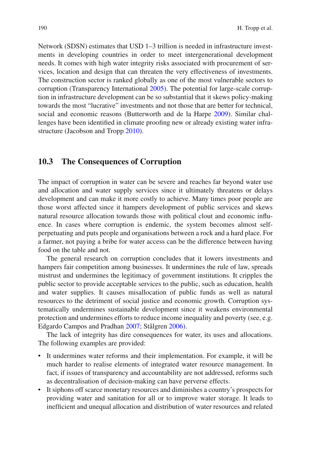Network (SDSN) estimates that USD 1–3 trillion is needed in infrastructure investments in developing countries in order to meet intergenerational development needs. It comes with high water integrity risks associated with procurement of services, location and design that can threaten the very effectiveness of investments. The construction sector is ranked globally as one of the most vulnerable sectors to corruption (Transparency International 2005). The potential for large-scale corruption in infrastructure development can be so substantial that it skews policy-making towards the most "lucrative" investments and not those that are better for technical, social and economic reasons (Butterworth and de la Harpe [2009](#page-15-0)). Similar challenges have been identified in climate proofing new or already existing water infra-structure (Jacobson and Tropp [2010](#page-15-0)).

## **10.3 The Consequences of Corruption**

 The impact of corruption in water can be severe and reaches far beyond water use and allocation and water supply services since it ultimately threatens or delays development and can make it more costly to achieve. Many times poor people are those worst affected since it hampers development of public services and skews natural resource allocation towards those with political clout and economic influence. In cases where corruption is endemic, the system becomes almost selfperpetuating and puts people and organisations between a rock and a hard place. For a farmer, not paying a bribe for water access can be the difference between having food on the table and not.

 The general research on corruption concludes that it lowers investments and hampers fair competition among businesses. It undermines the rule of law, spreads mistrust and undermines the legitimacy of government institutions. It cripples the public sector to provide acceptable services to the public, such as education, health and water supplies. It causes misallocation of public funds as well as natural resources to the detriment of social justice and economic growth. Corruption systematically undermines sustainable development since it weakens environmental protection and undermines efforts to reduce income inequality and poverty (see, e.g. Edgardo Campos and Pradhan 2007; Stålgren 2006).

 The lack of integrity has dire consequences for water, its uses and allocations. The following examples are provided:

- It undermines water reforms and their implementation. For example, it will be much harder to realise elements of integrated water resource management. In fact, if issues of transparency and accountability are not addressed, reforms such as decentralisation of decision-making can have perverse effects.
- It siphons off scarce monetary resources and diminishes a country's prospects for providing water and sanitation for all or to improve water storage. It leads to inefficient and unequal allocation and distribution of water resources and related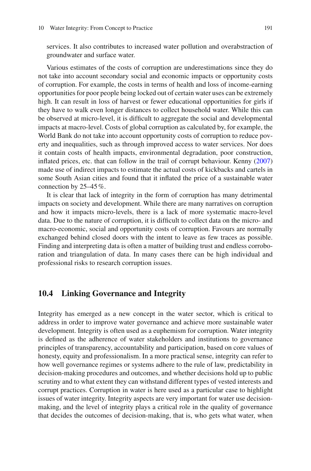services. It also contributes to increased water pollution and overabstraction of groundwater and surface water.

 Various estimates of the costs of corruption are underestimations since they do not take into account secondary social and economic impacts or opportunity costs of corruption. For example, the costs in terms of health and loss of income-earning opportunities for poor people being locked out of certain water uses can be extremely high. It can result in loss of harvest or fewer educational opportunities for girls if they have to walk even longer distances to collect household water. While this can be observed at micro-level, it is difficult to aggregate the social and developmental impacts at macro-level. Costs of global corruption as calculated by, for example, the World Bank do not take into account opportunity costs of corruption to reduce poverty and inequalities, such as through improved access to water services. Nor does it contain costs of health impacts, environmental degradation, poor construction, inflated prices, etc. that can follow in the trail of corrupt behaviour. Kenny  $(2007)$ made use of indirect impacts to estimate the actual costs of kickbacks and cartels in some South Asian cities and found that it inflated the price of a sustainable water connection by 25–45 %.

 It is clear that lack of integrity in the form of corruption has many detrimental impacts on society and development. While there are many narratives on corruption and how it impacts micro-levels, there is a lack of more systematic macro-level data. Due to the nature of corruption, it is difficult to collect data on the micro- and macro-economic, social and opportunity costs of corruption. Favours are normally exchanged behind closed doors with the intent to leave as few traces as possible. Finding and interpreting data is often a matter of building trust and endless corroboration and triangulation of data. In many cases there can be high individual and professional risks to research corruption issues.

## **10.4 Linking Governance and Integrity**

 Integrity has emerged as a new concept in the water sector, which is critical to address in order to improve water governance and achieve more sustainable water development. Integrity is often used as a euphemism for corruption. Water integrity is defined as the adherence of water stakeholders and institutions to governance principles of transparency, accountability and participation, based on core values of honesty, equity and professionalism. In a more practical sense, integrity can refer to how well governance regimes or systems adhere to the rule of law, predictability in decision-making procedures and outcomes, and whether decisions hold up to public scrutiny and to what extent they can withstand different types of vested interests and corrupt practices. Corruption in water is here used as a particular case to highlight issues of water integrity. Integrity aspects are very important for water use decisionmaking, and the level of integrity plays a critical role in the quality of governance that decides the outcomes of decision-making, that is, who gets what water, when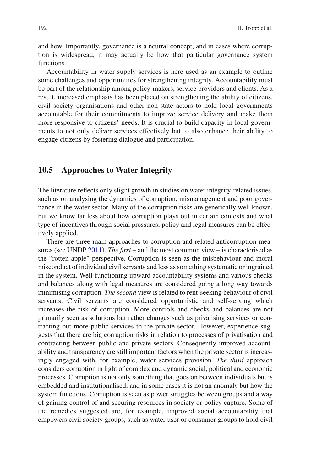and how. Importantly, governance is a neutral concept, and in cases where corruption is widespread, it may actually be how that particular governance system functions.

 Accountability in water supply services is here used as an example to outline some challenges and opportunities for strengthening integrity. Accountability must be part of the relationship among policy-makers, service providers and clients. As a result, increased emphasis has been placed on strengthening the ability of citizens, civil society organisations and other non-state actors to hold local governments accountable for their commitments to improve service delivery and make them more responsive to citizens' needs. It is crucial to build capacity in local governments to not only deliver services effectively but to also enhance their ability to engage citizens by fostering dialogue and participation.

## **10.5 Approaches to Water Integrity**

The literature reflects only slight growth in studies on water integrity-related issues, such as on analysing the dynamics of corruption, mismanagement and poor governance in the water sector. Many of the corruption risks are generically well known, but we know far less about how corruption plays out in certain contexts and what type of incentives through social pressures, policy and legal measures can be effectively applied.

 There are three main approaches to corruption and related anticorruption mea-sures (see UNDP [2011](#page-16-0)). *The first* – and the most common view – is characterised as the "rotten-apple" perspective. Corruption is seen as the misbehaviour and moral misconduct of individual civil servants and less as something systematic or ingrained in the system. Well-functioning upward accountability systems and various checks and balances along with legal measures are considered going a long way towards minimising corruption. *The second* view is related to rent-seeking behaviour of civil servants. Civil servants are considered opportunistic and self-serving which increases the risk of corruption. More controls and checks and balances are not primarily seen as solutions but rather changes such as privatising services or contracting out more public services to the private sector. However, experience suggests that there are big corruption risks in relation to processes of privatisation and contracting between public and private sectors. Consequently improved accountability and transparency are still important factors when the private sector is increasingly engaged with, for example, water services provision. *The third* approach considers corruption in light of complex and dynamic social, political and economic processes. Corruption is not only something that goes on between individuals but is embedded and institutionalised, and in some cases it is not an anomaly but how the system functions. Corruption is seen as power struggles between groups and a way of gaining control of and securing resources in society or policy capture. Some of the remedies suggested are, for example, improved social accountability that empowers civil society groups, such as water user or consumer groups to hold civil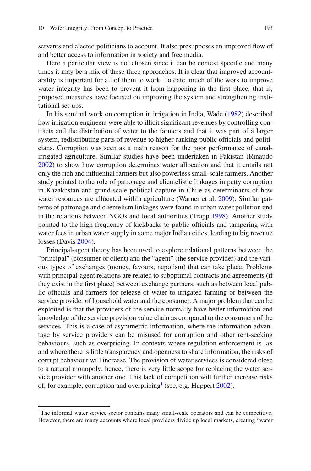servants and elected politicians to account. It also presupposes an improved flow of and better access to information in society and free media.

Here a particular view is not chosen since it can be context specific and many times it may be a mix of these three approaches. It is clear that improved accountability is important for all of them to work. To date, much of the work to improve water integrity has been to prevent it from happening in the first place, that is, proposed measures have focused on improving the system and strengthening institutional set-ups.

In his seminal work on corruption in irrigation in India, Wade (1982) described how irrigation engineers were able to illicit significant revenues by controlling contracts and the distribution of water to the farmers and that it was part of a larger system, redistributing parts of revenue to higher-ranking public officials and politicians. Corruption was seen as a main reason for the poor performance of canalirrigated agriculture. Similar studies have been undertaken in Pakistan (Rinaudo [2002 \)](#page-15-0) to show how corruption determines water allocation and that it entails not only the rich and influential farmers but also powerless small-scale farmers. Another study pointed to the role of patronage and clientelistic linkages in petty corruption in Kazakhstan and grand-scale political capture in Chile as determinants of how water resources are allocated within agriculture (Warner et al. [2009](#page-16-0)). Similar patterns of patronage and clientelism linkages were found in urban water pollution and in the relations between NGOs and local authorities (Tropp 1998). Another study pointed to the high frequency of kickbacks to public officials and tampering with water fees in urban water supply in some major Indian cities, leading to big revenue losses (Davis [2004](#page-15-0)).

 Principal-agent theory has been used to explore relational patterns between the "principal" (consumer or client) and the "agent" (the service provider) and the various types of exchanges (money, favours, nepotism) that can take place. Problems with principal-agent relations are related to suboptimal contracts and agreements (if they exist in the first place) between exchange partners, such as between local public officials and farmers for release of water to irrigated farming or between the service provider of household water and the consumer. A major problem that can be exploited is that the providers of the service normally have better information and knowledge of the service provision value chain as compared to the consumers of the services. This is a case of asymmetric information, where the information advantage by service providers can be misused for corruption and other rent-seeking behaviours, such as overpricing. In contexts where regulation enforcement is lax and where there is little transparency and openness to share information, the risks of corrupt behaviour will increase. The provision of water services is considered close to a natural monopoly; hence, there is very little scope for replacing the water service provider with another one. This lack of competition will further increase risks of, for example, corruption and overpricing<sup>1</sup> (see, e.g. Huppert 2002).

<sup>&</sup>lt;sup>1</sup>The informal water service sector contains many small-scale operators and can be competitive. However, there are many accounts where local providers divide up local markets, creating "water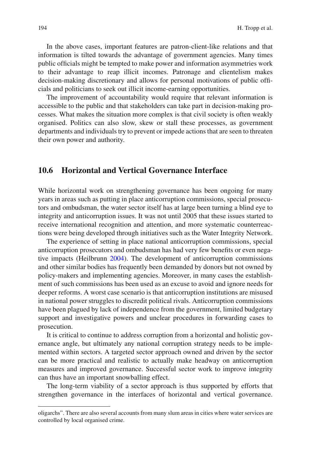In the above cases, important features are patron-client-like relations and that information is tilted towards the advantage of government agencies. Many times public officials might be tempted to make power and information asymmetries work to their advantage to reap illicit incomes. Patronage and clientelism makes decision-making discretionary and allows for personal motivations of public officials and politicians to seek out illicit income-earning opportunities.

 The improvement of accountability would require that relevant information is accessible to the public and that stakeholders can take part in decision-making processes. What makes the situation more complex is that civil society is often weakly organised. Politics can also slow, skew or stall these processes, as government departments and individuals try to prevent or impede actions that are seen to threaten their own power and authority.

## **10.6 Horizontal and Vertical Governance Interface**

 While horizontal work on strengthening governance has been ongoing for many years in areas such as putting in place anticorruption commissions, special prosecutors and ombudsman, the water sector itself has at large been turning a blind eye to integrity and anticorruption issues. It was not until 2005 that these issues started to receive international recognition and attention, and more systematic counterreactions were being developed through initiatives such as the Water Integrity Network.

 The experience of setting in place national anticorruption commissions, special anticorruption prosecutors and ombudsman has had very few benefits or even negative impacts (Heilbrunn 2004). The development of anticorruption commissions and other similar bodies has frequently been demanded by donors but not owned by policy-makers and implementing agencies. Moreover, in many cases the establishment of such commissions has been used as an excuse to avoid and ignore needs for deeper reforms. A worst case scenario is that anticorruption institutions are misused in national power struggles to discredit political rivals. Anticorruption commissions have been plagued by lack of independence from the government, limited budgetary support and investigative powers and unclear procedures in forwarding cases to prosecution.

 It is critical to continue to address corruption from a horizontal and holistic governance angle, but ultimately any national corruption strategy needs to be implemented within sectors. A targeted sector approach owned and driven by the sector can be more practical and realistic to actually make headway on anticorruption measures and improved governance. Successful sector work to improve integrity can thus have an important snowballing effect.

 The long-term viability of a sector approach is thus supported by efforts that strengthen governance in the interfaces of horizontal and vertical governance.

oligarchs". There are also several accounts from many slum areas in cities where water services are controlled by local organised crime.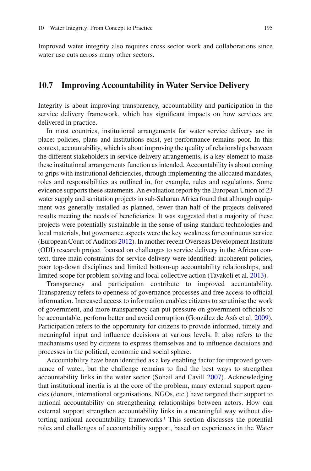Improved water integrity also requires cross sector work and collaborations since water use cuts across many other sectors.

#### **10.7 Improving Accountability in Water Service Delivery**

 Integrity is about improving transparency, accountability and participation in the service delivery framework, which has significant impacts on how services are delivered in practice.

 In most countries, institutional arrangements for water service delivery are in place: policies, plans and institutions exist, yet performance remains poor. In this context, accountability, which is about improving the quality of relationships between the different stakeholders in service delivery arrangements, is a key element to make these institutional arrangements function as intended. Accountability is about coming to grips with institutional deficiencies, through implementing the allocated mandates, roles and responsibilities as outlined in, for example, rules and regulations. Some evidence supports these statements. An evaluation report by the European Union of 23 water supply and sanitation projects in sub-Saharan Africa found that although equipment was generally installed as planned, fewer than half of the projects delivered results meeting the needs of beneficiaries. It was suggested that a majority of these projects were potentially sustainable in the sense of using standard technologies and local materials, but governance aspects were the key weakness for continuous service (European Court of Auditors [2012 \)](#page-15-0). In another recent Overseas Development Institute (ODI) research project focused on challenges to service delivery in the African context, three main constraints for service delivery were identified: incoherent policies, poor top-down disciplines and limited bottom-up accountability relationships, and limited scope for problem-solving and local collective action (Tavakoli et al. [2013](#page-16-0) ).

 Transparency and participation contribute to improved accountability. Transparency refers to openness of governance processes and free access to official information. Increased access to information enables citizens to scrutinise the work of government, and more transparency can put pressure on government officials to be accountable, perform better and avoid corruption (González de Asís et al. 2009). Participation refers to the opportunity for citizens to provide informed, timely and meaningful input and influence decisions at various levels. It also refers to the mechanisms used by citizens to express themselves and to influence decisions and processes in the political, economic and social sphere.

Accountability have been identified as a key enabling factor for improved governance of water, but the challenge remains to find the best ways to strengthen accountability links in the water sector (Sohail and Cavill [2007 \)](#page-16-0). Acknowledging that institutional inertia is at the core of the problem, many external support agencies (donors, international organisations, NGOs, etc.) have targeted their support to national accountability on strengthening relationships between actors. How can external support strengthen accountability links in a meaningful way without distorting national accountability frameworks? This section discusses the potential roles and challenges of accountability support, based on experiences in the Water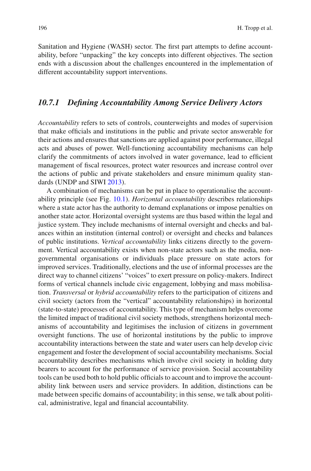Sanitation and Hygiene (WASH) sector. The first part attempts to define accountability, before "unpacking" the key concepts into different objectives. The section ends with a discussion about the challenges encountered in the implementation of different accountability support interventions.

#### *10.7.1 Defining Accountability Among Service Delivery Actors*

*Accountability* refers to sets of controls, counterweights and modes of supervision that make officials and institutions in the public and private sector answerable for their actions and ensures that sanctions are applied against poor performance, illegal acts and abuses of power. Well-functioning accountability mechanisms can help clarify the commitments of actors involved in water governance, lead to efficient management of fiscal resources, protect water resources and increase control over the actions of public and private stakeholders and ensure minimum quality stan-dards (UNDP and SIWI [2013](#page-16-0)).

 A combination of mechanisms can be put in place to operationalise the accountability principle (see Fig. 10.1). *Horizontal accountability* describes relationships where a state actor has the authority to demand explanations or impose penalties on another state actor. Horizontal oversight systems are thus based within the legal and justice system. They include mechanisms of internal oversight and checks and balances within an institution (internal control) or oversight and checks and balances of public institutions. *Vertical accountability* links citizens directly to the government. Vertical accountability exists when non-state actors such as the media, nongovernmental organisations or individuals place pressure on state actors for improved services. Traditionally, elections and the use of informal processes are the direct way to channel citizens' "voices" to exert pressure on policy-makers. Indirect forms of vertical channels include civic engagement, lobbying and mass mobilisation. *Transversal* or *hybrid accountability* refers to the participation of citizens and civil society (actors from the "vertical" accountability relationships) in horizontal (state-to-state) processes of accountability. This type of mechanism helps overcome the limited impact of traditional civil society methods, strengthens horizontal mechanisms of accountability and legitimises the inclusion of citizens in government oversight functions. The use of horizontal institutions by the public to improve accountability interactions between the state and water users can help develop civic engagement and foster the development of social accountability mechanisms. Social accountability describes mechanisms which involve civil society in holding duty bearers to account for the performance of service provision. Social accountability tools can be used both to hold public officials to account and to improve the accountability link between users and service providers. In addition, distinctions can be made between specific domains of accountability; in this sense, we talk about political, administrative, legal and financial accountability.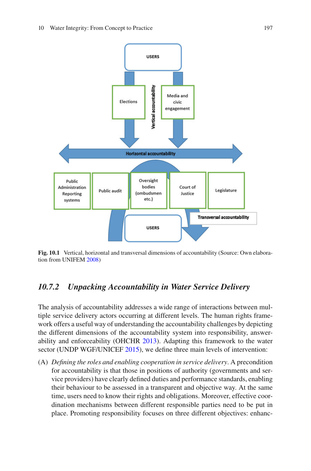<span id="page-10-0"></span>

 **Fig. 10.1** Vertical, horizontal and transversal dimensions of accountability (Source: Own elaboration from UNIFEM 2008)

## *10.7.2 Unpacking Accountability in Water Service Delivery*

 The analysis of accountability addresses a wide range of interactions between multiple service delivery actors occurring at different levels. The human rights framework offers a useful way of understanding the accountability challenges by depicting the different dimensions of the accountability system into responsibility, answerability and enforceability (OHCHR [2013 \)](#page-16-0). Adapting this framework to the water sector (UNDP WGF/UNICEF 2015), we define three main levels of intervention:

(A) *Defining the roles and enabling cooperation in service delivery*. A precondition for accountability is that those in positions of authority (governments and service providers) have clearly defined duties and performance standards, enabling their behaviour to be assessed in a transparent and objective way. At the same time, users need to know their rights and obligations. Moreover, effective coordination mechanisms between different responsible parties need to be put in place. Promoting responsibility focuses on three different objectives: enhanc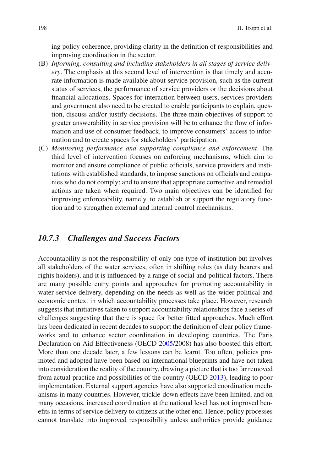ing policy coherence, providing clarity in the definition of responsibilities and improving coordination in the sector.

- (B) *Informing, consulting and including stakeholders in all stages of service delivery* . The emphasis at this second level of intervention is that timely and accurate information is made available about service provision, such as the current status of services, the performance of service providers or the decisions about financial allocations. Spaces for interaction between users, services providers and government also need to be created to enable participants to explain, question, discuss and/or justify decisions. The three main objectives of support to greater answerability in service provision will be to enhance the flow of information and use of consumer feedback, to improve consumers' access to information and to create spaces for stakeholders' participation.
- (C) *Monitoring performance and supporting compliance and enforcement* . The third level of intervention focuses on enforcing mechanisms, which aim to monitor and ensure compliance of public officials, service providers and institutions with established standards; to impose sanctions on officials and companies who do not comply; and to ensure that appropriate corrective and remedial actions are taken when required. Two main objectives can be identified for improving enforceability, namely, to establish or support the regulatory function and to strengthen external and internal control mechanisms.

#### *10.7.3 Challenges and Success Factors*

 Accountability is not the responsibility of only one type of institution but involves all stakeholders of the water services, often in shifting roles (as duty bearers and rights holders), and it is influenced by a range of social and political factors. There are many possible entry points and approaches for promoting accountability in water service delivery, depending on the needs as well as the wider political and economic context in which accountability processes take place. However, research suggests that initiatives taken to support accountability relationships face a series of challenges suggesting that there is space for better fitted approaches. Much effort has been dedicated in recent decades to support the definition of clear policy frameworks and to enhance sector coordination in developing countries. The Paris Declaration on Aid Effectiveness (OECD 2005/2008) has also boosted this effort. More than one decade later, a few lessons can be learnt. Too often, policies promoted and adopted have been based on international blueprints and have not taken into consideration the reality of the country, drawing a picture that is too far removed from actual practice and possibilities of the country (OECD [2013](#page-15-0) ), leading to poor implementation. External support agencies have also supported coordination mechanisms in many countries. However, trickle-down effects have been limited, and on many occasions, increased coordination at the national level has not improved benefits in terms of service delivery to citizens at the other end. Hence, policy processes cannot translate into improved responsibility unless authorities provide guidance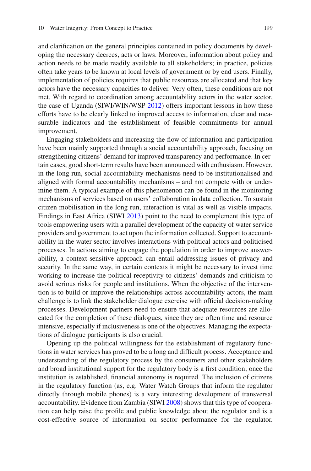and clarification on the general principles contained in policy documents by developing the necessary decrees, acts or laws. Moreover, information about policy and action needs to be made readily available to all stakeholders; in practice, policies often take years to be known at local levels of government or by end users. Finally, implementation of policies requires that public resources are allocated and that key actors have the necessary capacities to deliver. Very often, these conditions are not met. With regard to coordination among accountability actors in the water sector, the case of Uganda (SIWI/WIN/WSP [2012](#page-15-0) ) offers important lessons in how these efforts have to be clearly linked to improved access to information, clear and measurable indicators and the establishment of feasible commitments for annual improvement.

Engaging stakeholders and increasing the flow of information and participation have been mainly supported through a social accountability approach, focusing on strengthening citizens' demand for improved transparency and performance. In certain cases, good short-term results have been announced with enthusiasm. However, in the long run, social accountability mechanisms need to be institutionalised and aligned with formal accountability mechanisms – and not compete with or undermine them. A typical example of this phenomenon can be found in the monitoring mechanisms of services based on users' collaboration in data collection. To sustain citizen mobilisation in the long run, interaction is vital as well as visible impacts. Findings in East Africa (SIWI [2013](#page-16-0)) point to the need to complement this type of tools empowering users with a parallel development of the capacity of water service providers and government to act upon the information collected. Support to accountability in the water sector involves interactions with political actors and politicised processes. In actions aiming to engage the population in order to improve answerability, a context-sensitive approach can entail addressing issues of privacy and security. In the same way, in certain contexts it might be necessary to invest time working to increase the political receptivity to citizens' demands and criticism to avoid serious risks for people and institutions. When the objective of the intervention is to build or improve the relationships across accountability actors, the main challenge is to link the stakeholder dialogue exercise with official decision-making processes. Development partners need to ensure that adequate resources are allocated for the completion of these dialogues, since they are often time and resource intensive, especially if inclusiveness is one of the objectives. Managing the expectations of dialogue participants is also crucial.

 Opening up the political willingness for the establishment of regulatory functions in water services has proved to be a long and difficult process. Acceptance and understanding of the regulatory process by the consumers and other stakeholders and broad institutional support for the regulatory body is a first condition; once the institution is established, financial autonomy is required. The inclusion of citizens in the regulatory function (as, e.g. Water Watch Groups that inform the regulator directly through mobile phones) is a very interesting development of transversal accountability. Evidence from Zambia (SIWI 2008) shows that this type of cooperation can help raise the profile and public knowledge about the regulator and is a cost-effective source of information on sector performance for the regulator.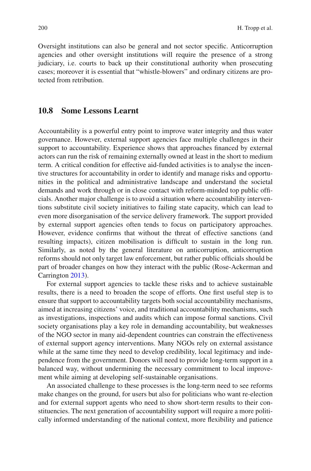Oversight institutions can also be general and not sector specific. Anticorruption agencies and other oversight institutions will require the presence of a strong judiciary, i.e. courts to back up their constitutional authority when prosecuting cases; moreover it is essential that "whistle-blowers" and ordinary citizens are protected from retribution.

## **10.8 Some Lessons Learnt**

 Accountability is a powerful entry point to improve water integrity and thus water governance. However, external support agencies face multiple challenges in their support to accountability. Experience shows that approaches financed by external actors can run the risk of remaining externally owned at least in the short to medium term. A critical condition for effective aid-funded activities is to analyse the incentive structures for accountability in order to identify and manage risks and opportunities in the political and administrative landscape and understand the societal demands and work through or in close contact with reform-minded top public officials. Another major challenge is to avoid a situation where accountability interventions substitute civil society initiatives to failing state capacity, which can lead to even more disorganisation of the service delivery framework. The support provided by external support agencies often tends to focus on participatory approaches. However, evidence confirms that without the threat of effective sanctions (and resulting impacts), citizen mobilisation is difficult to sustain in the long run. Similarly, as noted by the general literature on anticorruption, anticorruption reforms should not only target law enforcement, but rather public officials should be part of broader changes on how they interact with the public (Rose-Ackerman and Carrington 2013).

 For external support agencies to tackle these risks and to achieve sustainable results, there is a need to broaden the scope of efforts. One first useful step is to ensure that support to accountability targets both social accountability mechanisms, aimed at increasing citizens' voice, and traditional accountability mechanisms, such as investigations, inspections and audits which can impose formal sanctions. Civil society organisations play a key role in demanding accountability, but weaknesses of the NGO sector in many aid-dependent countries can constrain the effectiveness of external support agency interventions. Many NGOs rely on external assistance while at the same time they need to develop credibility, local legitimacy and independence from the government. Donors will need to provide long-term support in a balanced way, without undermining the necessary commitment to local improvement while aiming at developing self-sustainable organisations.

 An associated challenge to these processes is the long-term need to see reforms make changes on the ground, for users but also for politicians who want re-election and for external support agents who need to show short-term results to their constituencies. The next generation of accountability support will require a more politically informed understanding of the national context, more flexibility and patience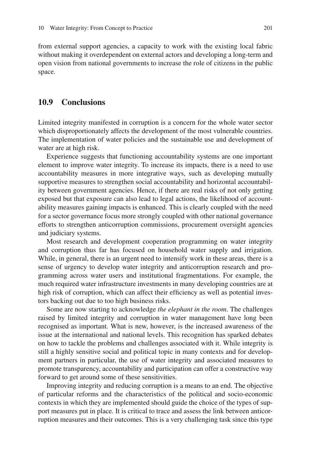from external support agencies, a capacity to work with the existing local fabric without making it overdependent on external actors and developing a long-term and open vision from national governments to increase the role of citizens in the public space.

#### **10.9 Conclusions**

 Limited integrity manifested in corruption is a concern for the whole water sector which disproportionately affects the development of the most vulnerable countries. The implementation of water policies and the sustainable use and development of water are at high risk.

 Experience suggests that functioning accountability systems are one important element to improve water integrity. To increase its impacts, there is a need to use accountability measures in more integrative ways, such as developing mutually supportive measures to strengthen social accountability and horizontal accountability between government agencies. Hence, if there are real risks of not only getting exposed but that exposure can also lead to legal actions, the likelihood of accountability measures gaining impacts is enhanced. This is clearly coupled with the need for a sector governance focus more strongly coupled with other national governance efforts to strengthen anticorruption commissions, procurement oversight agencies and judiciary systems.

 Most research and development cooperation programming on water integrity and corruption thus far has focused on household water supply and irrigation. While, in general, there is an urgent need to intensify work in these areas, there is a sense of urgency to develop water integrity and anticorruption research and programming across water users and institutional fragmentations. For example, the much required water infrastructure investments in many developing countries are at high risk of corruption, which can affect their efficiency as well as potential investors backing out due to too high business risks.

Some are now starting to acknowledge *the elephant in the room*. The challenges raised by limited integrity and corruption in water management have long been recognised as important. What is new, however, is the increased awareness of the issue at the international and national levels. This recognition has sparked debates on how to tackle the problems and challenges associated with it. While integrity is still a highly sensitive social and political topic in many contexts and for development partners in particular, the use of water integrity and associated measures to promote transparency, accountability and participation can offer a constructive way forward to get around some of these sensitivities.

 Improving integrity and reducing corruption is a means to an end. The objective of particular reforms and the characteristics of the political and socio-economic contexts in which they are implemented should guide the choice of the types of support measures put in place. It is critical to trace and assess the link between anticorruption measures and their outcomes. This is a very challenging task since this type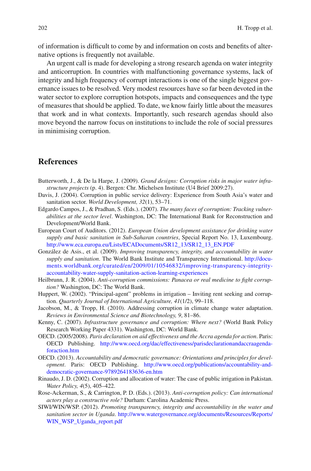<span id="page-15-0"></span>of information is difficult to come by and information on costs and benefits of alternative options is frequently not available.

 An urgent call is made for developing a strong research agenda on water integrity and anticorruption. In countries with malfunctioning governance systems, lack of integrity and high frequency of corrupt interactions is one of the single biggest governance issues to be resolved. Very modest resources have so far been devoted in the water sector to explore corruption hotspots, impacts and consequences and the type of measures that should be applied. To date, we know fairly little about the measures that work and in what contexts. Importantly, such research agendas should also move beyond the narrow focus on institutions to include the role of social pressures in minimising corruption.

## **References**

- Butterworth, J., & De la Harpe, J. (2009). *Grand designs: Corruption risks in major water infrastructure projects* (p. 4). Bergen: Chr. Michelsen Institute (U4 Brief 2009:27).
- Davis, J. (2004). Corruption in public service delivery: Experience from South Asia's water and sanitation sector. *World Development*, 32(1), 53-71.
- Edgardo Campos, J., & Pradhan, S. (Eds.). (2007). *The many faces of corruption: Tracking vulnerabilities at the sector level* . Washington, DC: The International Bank for Reconstruction and Development/World Bank.
- European Court of Auditors. (2012). *European Union development assistance for drinking water supply and basic sanitation in Sub-Saharan countries* , Special Report No. 13, Luxembourg.  [http://www.eca.europa.eu/Lists/ECADocuments/SR12\\_13/SR12\\_13\\_EN.PDF](http://www.eca.europa.eu/Lists/ECADocuments/SR12_13/SR12_13_EN.PDF)
- González de Asis., et al. (2009). *Improving transparency, integrity, and accountability in water supply and sanitation* . The World Bank Institute and Transparency International. [http://docu](http://documents.worldbank.org/curated/en/2009/01/10546832/improving-transparency-integrity-accountability-water-supply-sanitation-action-learning-experiences)[ments.worldbank.org/curated/en/2009/01/10546832/improving-transparency-integrity](http://documents.worldbank.org/curated/en/2009/01/10546832/improving-transparency-integrity-accountability-water-supply-sanitation-action-learning-experiences)accountability-water-supply-sanitation-action-learning-experiences
- Heilbrunn, J. R. (2004). *Anti-corruption commissions: Panacea or real medicine to fight corruption?* Washington, DC: The World Bank.
- Huppert, W. (2002). "Principal-agent" problems in irrigation Inviting rent seeking and corruption. *Quarterly Journal of International Agriculture, 41* (1/2), 99–118.
- Jacobson, M., & Tropp, H. (2010). Addressing corruption in climate change water adaptation. *Reviews in Environmental Science and Biotechnology, 9* , 81–86.
- Kenny, C. (2007). *Infrastructure governance and corruption: Where next?* (World Bank Policy Research Working Paper 4331). Washington, DC: World Bank.
- OECD. (2005/2008). *Paris declaration on aid effectiveness and the Accra agenda for action* . Paris: OECD Publishing. [http://www.oecd.org/dac/effectiveness/parisdeclarationandaccraagenda](http://www.oecd.org/dac/effectiveness/parisdeclarationandaccraagendaforaction.htm)[foraction.htm](http://www.oecd.org/dac/effectiveness/parisdeclarationandaccraagendaforaction.htm)
- OECD. (2013). *Accountability and democratic governance: Orientations and principles for development*. Paris: OECD Publishing. [http://www.oecd.org/publications/accountability-and](http://www.oecd.org/publications/accountability-and-democratic-governance-9789264183636-en.htm)[democratic- governance-9789264183636-en.htm](http://www.oecd.org/publications/accountability-and-democratic-governance-9789264183636-en.htm)
- Rinaudo, J. D. (2002). Corruption and allocation of water: The case of public irrigation in Pakistan. *Water Policy, 4(5), 405-422.*
- Rose-Ackerman, S., & Carrington, P. D. (Eds.). (2013). *Anti-corruption policy: Can international actors play a constructive role?* Durham: Carolina Academic Press.
- SIWI/WIN/WSP. (2012). *Promoting transparency, integrity and accountability in the water and sanitation sector in Uganda* . [http://www.watergovernance.org/documents/Resources/Reports/](http://www.watergovernance.org/documents/Resources/Reports/WIN_WSP_Uganda_report.pdf) [WIN\\_WSP\\_Uganda\\_report.pdf](http://www.watergovernance.org/documents/Resources/Reports/WIN_WSP_Uganda_report.pdf)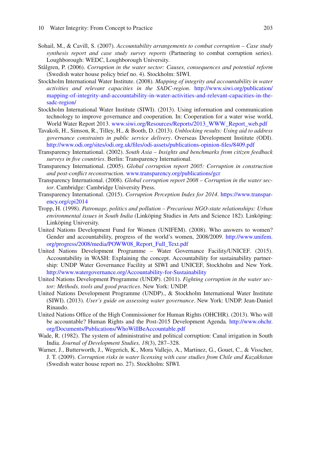- <span id="page-16-0"></span> Sohail, M., & Cavill, S. (2007). *Accountability arrangements to combat corruption – Case study synthesis report and case study survey reports* (Partnering to combat corruption series). Loughborough: WEDC, Loughborough University.
- Stålgren, P. (2006). *Corruption in the water sector: Causes, consequences and potential reform* (Swedish water house policy brief no. 4). Stockholm: SIWI.
- Stockholm International Water Institute. (2008). *Mapping of integrity and accountability in water activities and relevant capacities in the SADC-region* . [http://www.siwi.org/publication/](http://www.siwi.org/publication/mapping-of-integrity-and-accountability-in-water-activities-and-relevant-capacities-in-the-sadc-region/) [mapping-of-integrity-and-accountability-in-water-activities-and-relevant-capacities-in-the](http://www.siwi.org/publication/mapping-of-integrity-and-accountability-in-water-activities-and-relevant-capacities-in-the-sadc-region/)[sadc- region/](http://www.siwi.org/publication/mapping-of-integrity-and-accountability-in-water-activities-and-relevant-capacities-in-the-sadc-region/)
- Stockholm International Water Institute (SIWI). (2013). Using information and communication technology to improve governance and cooperation. In: Cooperation for a water wise world, World Water Report 2013. [www.siwi.org/Resources/Reports/2013\\_WWW\\_Report\\_web.pdf](http://www.siwi.org/Resources/Reports/2013_WWW_Report_web.pdf)
- Tavakoli, H., Simson, R., Tilley, H., & Booth, D. (2013). *Unblocking results: Using aid to address governance constraints in public service delivery* . Overseas Development Institute (ODI). http://www.odi.org/sites/odi.org.uk/files/odi-assets/publications-opinion-files/8409.pdf
- Transparency International. (2002). *South Asia Insights and benchmarks from citizen feedback surveys in five countries*. Berlin: Transparency International.
- Transparency International. (2005). *Global corruption report 2005: Corruption in construction and post-conflict reconstruction.* www.transparency.org/publications/gcr
- Transparency International. (2008). *Global corruption report 2008 Corruption in the water sec*tor. Cambridge: Cambridge University Press.
- Transparency International. (2015). *Corruption Perception Index for 2014* . [https://www.transpar](https://www.transparency.org/cpi2014)[ency.org/cpi2014](https://www.transparency.org/cpi2014)
- Tropp, H. (1998). *Patronage, politics and pollution Precarious NGO-state relationships: Urban environmental issues in South India* (Linköping Studies in Arts and Science 182). Linköping: Linköping University.
- United Nations Development Fund for Women (UNIFEM). (2008). Who answers to women? Gender and accountability, progress of the world's women, 2008/2009. [http://www.unifem.](http://www.unifem.org/progress/2008/media/POWW08_Report_Full_Text.pdf) [org/progress/2008/media/POWW08\\_Report\\_Full\\_Text.pdf](http://www.unifem.org/progress/2008/media/POWW08_Report_Full_Text.pdf)
- United Nations Development Programme Water Governance Facility/UNICEF. (2015). Accountability in WASH: Explaining the concept. Accountability for sustainability partnership: UNDP Water Governance Facility at SIWI and UNICEF, Stockholm and New York. <http://www.watergovernance.org/Accountability-for-Sustainability>
- United Nations Development Programme (UNDP). (2011). *Fighting corruption in the water sector: Methods, tools and good practices* . New York: UNDP.
- United Nations Development Programme (UNDP)., & Stockholm International Water Institute (SIWI). (2013). *User's guide on assessing water governance* . New York: UNDP. Jean-Daniel Rinaudo.
- United Nations Office of the High Commissioner for Human Rights (OHCHR). (2013). Who will be accountable? Human Rights and the Post-2015 Development Agenda *.* [http://www.ohchr.](http://www.ohchr.org/Documents/Publications/WhoWillBeAccountable.pdf) [org/Documents/Publications/WhoWillBeAccountable.pdf](http://www.ohchr.org/Documents/Publications/WhoWillBeAccountable.pdf)
- Wade, R. (1982). The system of administrative and political corruption: Canal irrigation in South India. *Journal of Development Studies, 18* (3), 287–328.
- Warner, J., Butterworth, J., Wegerich, K., Mora Vallejo, A., Martinez, G., Gouet, C., & Visscher, J. T. (2009). *Corruption risks in water licensing with case studies from Chile and Kazakhstan* (Swedish water house report no. 27). Stockholm: SIWI.